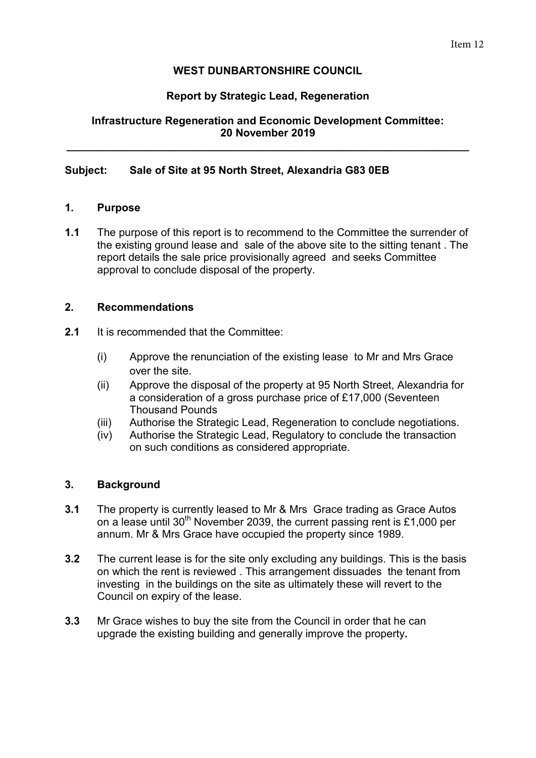# **WEST DUNBARTONSHIRE COUNCIL**

## **Report by Strategic Lead, Regeneration**

# **Infrastructure Regeneration and Economic Development Committee: 20 November 2019**

**\_\_\_\_\_\_\_\_\_\_\_\_\_\_\_\_\_\_\_\_\_\_\_\_\_\_\_\_\_\_\_\_\_\_\_\_\_\_\_\_\_\_\_\_\_\_\_\_\_\_\_\_\_\_\_\_\_\_\_\_\_\_\_\_\_\_\_** 

### **Subject: Sale of Site at 95 North Street, Alexandria G83 0EB**

### **1. Purpose**

**1.1** The purpose of this report is to recommend to the Committee the surrender of the existing ground lease and sale of the above site to the sitting tenant . The report details the sale price provisionally agreed and seeks Committee approval to conclude disposal of the property.

### **2. Recommendations**

- **2.1** It is recommended that the Committee:
	- (i) Approve the renunciation of the existing lease to Mr and Mrs Grace over the site.
	- (ii) Approve the disposal of the property at 95 North Street, Alexandria for a consideration of a gross purchase price of £17,000 (Seventeen Thousand Pounds
	- (iii) Authorise the Strategic Lead, Regeneration to conclude negotiations.
	- (iv) Authorise the Strategic Lead, Regulatory to conclude the transaction on such conditions as considered appropriate.

### **3. Background**

- **3.1** The property is currently leased to Mr & Mrs Grace trading as Grace Autos on a lease until  $30<sup>th</sup>$  November 2039, the current passing rent is £1,000 per annum. Mr & Mrs Grace have occupied the property since 1989.
- **3.2** The current lease is for the site only excluding any buildings. This is the basis on which the rent is reviewed . This arrangement dissuades the tenant from investing in the buildings on the site as ultimately these will revert to the Council on expiry of the lease.
- **3.3** Mr Grace wishes to buy the site from the Council in order that he can upgrade the existing building and generally improve the property**.**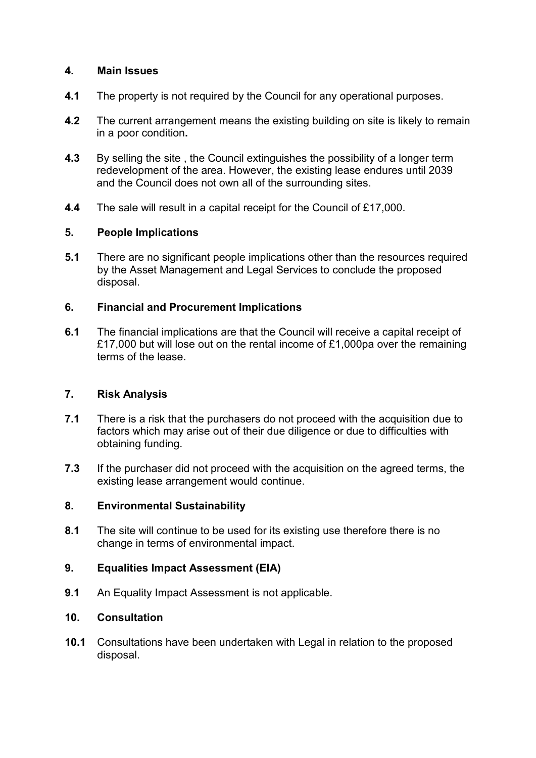## **4. Main Issues**

- **4.1** The property is not required by the Council for any operational purposes.
- **4.2** The current arrangement means the existing building on site is likely to remain in a poor condition**.**
- **4.3** By selling the site , the Council extinguishes the possibility of a longer term redevelopment of the area. However, the existing lease endures until 2039 and the Council does not own all of the surrounding sites.
- **4.4** The sale will result in a capital receipt for the Council of £17,000.

# **5. People Implications**

**5.1** There are no significant people implications other than the resources required by the Asset Management and Legal Services to conclude the proposed disposal.

# **6. Financial and Procurement Implications**

**6.1** The financial implications are that the Council will receive a capital receipt of £17,000 but will lose out on the rental income of £1,000pa over the remaining terms of the lease.

### **7. Risk Analysis**

- **7.1** There is a risk that the purchasers do not proceed with the acquisition due to factors which may arise out of their due diligence or due to difficulties with obtaining funding.
- **7.3** If the purchaser did not proceed with the acquisition on the agreed terms, the existing lease arrangement would continue.

### **8. Environmental Sustainability**

**8.1** The site will continue to be used for its existing use therefore there is no change in terms of environmental impact.

# **9. Equalities Impact Assessment (EIA)**

**9.1** An Equality Impact Assessment is not applicable.

# **10. Consultation**

**10.1** Consultations have been undertaken with Legal in relation to the proposed disposal.